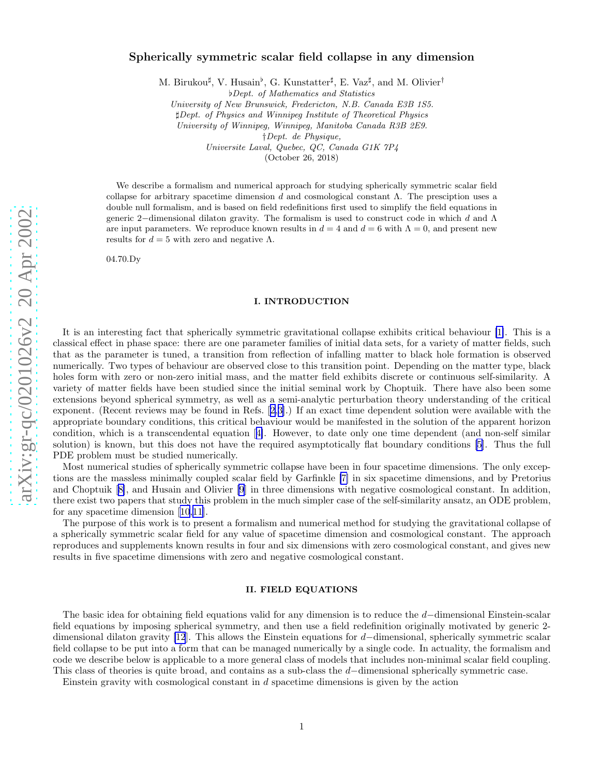# Spherically symmetric scalar field collapse in any dimensio n

M. Birukou‡, V. Husain<sup>b</sup>, G. Kunstatter‡, E. Vaz<sup>‡</sup>, and M. Olivier<sup>†</sup>

♭Dept. of Mathematics and Statistics

University of New Brunswick, Fredericton, N.B. Canada E3B 1S5.

♯Dept. of Physics and Winnipeg Institute of Theoretical Physics

University of Winnipeg, Winnipeg, Manitoba Canada R3B 2E9.

†Dept. de Physique,

Universite Laval, Quebec, QC, Canada G1K 7P4

(October 26, 2018)

We describe a formalism and numerical approach for studying spherically symmetric scalar field collapse for arbitrary spacetime dimension d and cosmological constant  $\Lambda$ . The presciption uses a double null formalism, and is based on field redefinitions first used to simplify the field equations in generic 2 −dimensional dilaton gravity. The formalism is used to construct code in which d and Λ are input parameters. We reproduce known results in  $d = 4$  and  $d = 6$  with  $\Lambda = 0$ , and present new results for  $d = 5$  with zero and negative  $\Lambda$ .

04.70.Dy

#### I. INTRODUCTION

It is an interesting fact that spherically symmetric gravitational collapse exhibits critical behaviour [\[1\]](#page-10-0). This is a classical effect in phase space: there are one parameter families of initial data sets, for a variety of matter fields, such that as the parameter is tuned, a transition from reflection of infalling matter to black hole formation is observed numerically. Two types of behaviour are observed close to this transition point. Depending on the matter type, black holes form with zero or non-zero initial mass, and the matter field exhibits discrete or continuous self-similarity. A variety of matter fields have been studied since the initial seminal work by Choptuik. There have also been some extensions beyond spherical symmetry, as well as a semi-analytic perturbation theory understanding of the critical exponent. (Recent reviews may be found in Refs.[[2,3\]](#page-10-0).) If an exact time dependent solution were available with the appropriate boundary conditions, this critical behaviour would be manifested in the solution of the apparent horizon condition, which is a transcendental equation[[4\]](#page-10-0). However, to date only one time dependent (and non-self similar solution) is known, but this does not have the required asymptotically flat boundary conditions [\[5](#page-10-0)]. Thus the full PDE problem must be studied numerically.

Most numerical studies of spherically symmetric collapse have been in four spacetime dimensions. The only exceptions are the massless minimally coupled scalar field by Garfinkle [\[7\]](#page-10-0) in six spacetime dimensions, and by Pretorius and Choptuik[[8\]](#page-10-0), and Husain and Olivier [\[9](#page-10-0)] in three dimensions with negative cosmological constant. In addition, there exist two papers that study this problem in the much simpler case of the self-similarity ansatz, an ODE problem, for any spacetime dimension[[10](#page-10-0),[11\]](#page-10-0).

The purpose of this work is to present a formalism and numerical method for studying the gravitational collapse of a spherically symmetric scalar field for any value of spacetime dimension and cosmological constant. The approach reproduces and supplements known results in four and six dimensions with zero cosmological constant, and gives new results in five spacetime dimensions with zero and negative cosmological constant.

#### II. FIELD EQUATIONS

The basic idea for obtaining field equations valid for any dimension is to reduce the  $d$ -dimensional Einstein-scalar field equations by imposing spherical symmetry, and then use a field redefinition originally motivated by generic 2- dimensional dilaton gravity [\[12](#page-10-0)]. This allows the Einstein equations for d−dimensional, spherically symmetric scalar field collapse to be put into a form that can be managed numerically by a single code. In actuality, the formalism and code we describe below is applicable to a more general class of models that includes non-minimal scalar field coupling. This class of theories is quite broad, and contains as a sub-class the  $d$ -dimensional spherically symmetric case.

Einstein gravity with cosmological constant in d spacetime dimensions is given by the action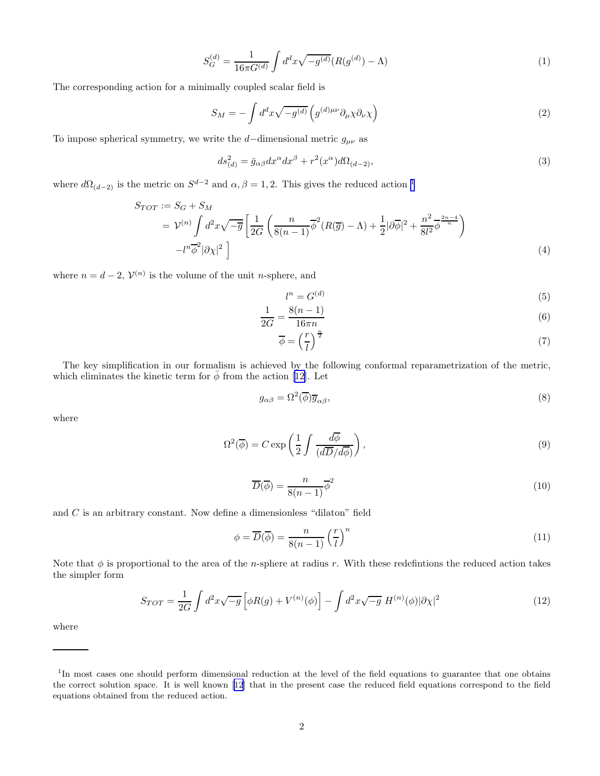$$
S_G^{(d)} = \frac{1}{16\pi G^{(d)}} \int d^d x \sqrt{-g^{(d)}} (R(g^{(d)}) - \Lambda)
$$
\n(1)

<span id="page-1-0"></span>The corresponding action for a minimally coupled scalar field is

$$
S_M = -\int d^d x \sqrt{-g^{(d)}} \left( g^{(d)\mu\nu} \partial_\mu \chi \partial_\nu \chi \right) \tag{2}
$$

To impose spherical symmetry, we write the  $d{-}$  dimensional metric  $g_{\mu\nu}$  as

$$
ds_{(d)}^2 = \bar{g}_{\alpha\beta} dx^{\alpha} dx^{\beta} + r^2(x^{\alpha}) d\Omega_{(d-2)},
$$
\n(3)

where  $d\Omega_{(d-2)}$  is the metric on  $S^{d-2}$  and  $\alpha, \beta = 1, 2$ . This gives the reduced action <sup>1</sup>

$$
S_{TOT} := S_G + S_M
$$
  
=  $\mathcal{V}^{(n)} \int d^2x \sqrt{-\overline{g}} \left[ \frac{1}{2G} \left( \frac{n}{8(n-1)} \overline{\phi}^2 (R(\overline{g}) - \Lambda) + \frac{1}{2} |\partial \overline{\phi}|^2 + \frac{n^2}{8l^2} \overline{\phi}^{\frac{2n-4}{n}} \right) - l^n \overline{\phi}^2 |\partial \chi|^2 \right]$  (4)

where  $n = d - 2$ ,  $V^{(n)}$  is the volume of the unit *n*-sphere, and

$$
l^n = G^{(d)} \tag{5}
$$

$$
\frac{1}{2G} = \frac{8(n-1)}{16\pi n}
$$
\n(6)

$$
\overline{\phi} = \left(\frac{r}{l}\right)^{\frac{n}{2}}\tag{7}
$$

The key simplification in our formalism is achieved by the following conformal reparametrization of the metric, whicheliminates the kinetic term for  $\bar{\phi}$  from the action [[12\]](#page-10-0). Let

$$
g_{\alpha\beta} = \Omega^2(\overline{\phi})\overline{g}_{\alpha\beta},\tag{8}
$$

where

$$
\Omega^2(\overline{\phi}) = C \exp\left(\frac{1}{2} \int \frac{d\overline{\phi}}{(d\overline{D}/d\overline{\phi})}\right),\tag{9}
$$

$$
\overline{D}(\overline{\phi}) = \frac{n}{8(n-1)}\overline{\phi}^2
$$
\n(10)

and  $C$  is an arbitrary constant. Now define a dimensionless "dilaton" field

$$
\phi = \overline{D}(\overline{\phi}) = \frac{n}{8(n-1)} \left(\frac{r}{l}\right)^n \tag{11}
$$

Note that  $\phi$  is proportional to the area of the *n*-sphere at radius r. With these redefintions the reduced action takes the simpler form

$$
S_{TOT} = \frac{1}{2G} \int d^2x \sqrt{-g} \left[ \phi R(g) + V^{(n)}(\phi) \right] - \int d^2x \sqrt{-g} \ H^{(n)}(\phi) |\partial \chi|^2 \tag{12}
$$

where

<sup>&</sup>lt;sup>1</sup>In most cases one should perform dimensional reduction at the level of the field equations to guarantee that one obtains the correct solution space. It is well known [\[12](#page-10-0)] that in the present case the reduced field equations correspond to the field equations obtained from the reduced action.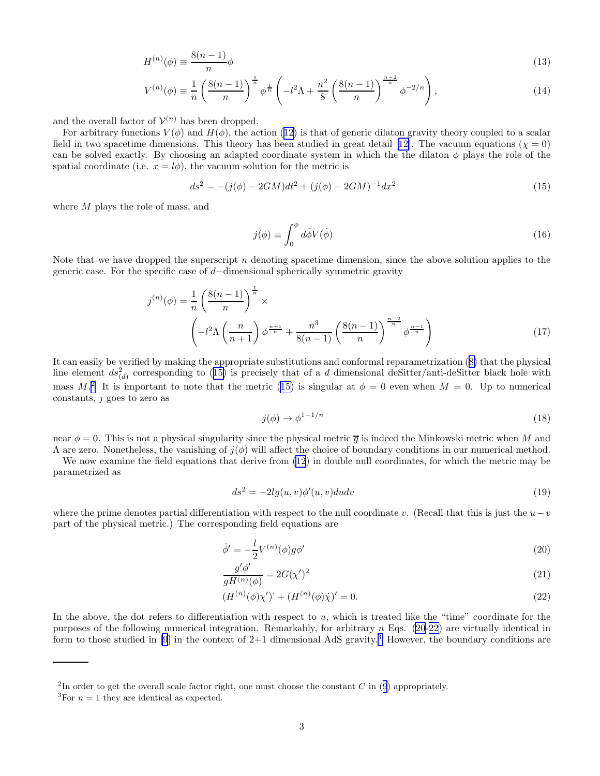$$
H^{(n)}(\phi) \equiv \frac{8(n-1)}{n}\phi
$$
\n(13)

$$
V^{(n)}(\phi) \equiv \frac{1}{n} \left( \frac{8(n-1)}{n} \right)^{\frac{1}{n}} \phi^{\frac{1}{n}} \left( -l^2 \Lambda + \frac{n^2}{8} \left( \frac{8(n-1)}{n} \right)^{\frac{n-2}{n}} \phi^{-2/n} \right),\tag{14}
$$

<span id="page-2-0"></span>and the overall factor of  $\mathcal{V}^{(n)}$  has been dropped.

Forarbitrary functions  $V(\phi)$  and  $H(\phi)$ , the action ([12\)](#page-1-0) is that of generic dilaton gravity theory coupled to a scalar fieldin two spacetime dimensions. This theory has been studied in great detail [[12\]](#page-10-0). The vacuum equations ( $\chi = 0$ ) can be solved exactly. By choosing an adapted coordinate system in which the the dilaton  $\phi$  plays the role of the spatial coordinate (i.e.  $x = l\phi$ ), the vacuum solution for the metric is

$$
ds^{2} = -(j(\phi) - 2GM)dt^{2} + (j(\phi) - 2GM)^{-1}dx^{2}
$$
\n(15)

where M plays the role of mass, and

$$
j(\phi) \equiv \int_0^{\phi} d\tilde{\phi} V(\tilde{\phi}) \tag{16}
$$

Note that we have dropped the superscript n denoting spacetime dimension, since the above solution applies to the generic case. For the specific case of  $d$ −dimensional spherically symmetric gravity

$$
j^{(n)}(\phi) = \frac{1}{n} \left( \frac{8(n-1)}{n} \right)^{\frac{1}{n}} \times \left( -l^2 \Lambda \left( \frac{n}{n+1} \right) \phi^{\frac{n+1}{n}} + \frac{n^3}{8(n-1)} \left( \frac{8(n-1)}{n} \right)^{\frac{n-2}{n}} \phi^{\frac{n-1}{n}} \right)
$$
(17)

It can easily be verified by making the appropriate substitutions and conformal reparametrization([8\)](#page-1-0) that the physical line element  $ds_{(d)}^2$  corresponding to (15) is precisely that of a d dimensional deSitter/anti-deSitter black hole with mass  $M<sup>2</sup>$ . It is important to note that the metric (15) is singular at  $\phi = 0$  even when  $M = 0$ . Up to numerical constants,  $j$  goes to zero as

$$
j(\phi) \to \phi^{1-1/n} \tag{18}
$$

near  $\phi = 0$ . This is not a physical singularity since the physical metric  $\overline{q}$  is indeed the Minkowski metric when M and  $\Lambda$  are zero. Nonetheless, the vanishing of  $j(\phi)$  will affect the choice of boundary conditions in our numerical method.

We now examine the field equations that derive from [\(12](#page-1-0)) in double null coordinates, for which the metric may be parametrized as

$$
ds^{2} = -2lg(u, v)\phi'(u, v)dudv
$$
\n(19)

where the prime denotes partial differentiation with respect to the null coordinate v. (Recall that this is just the  $u-v$ part of the physical metric.) The corresponding field equations are

$$
\dot{\phi}' = -\frac{l}{2} V^{(n)}(\phi) g \phi' \tag{20}
$$

$$
\frac{g'\phi'}{gH^{(n)}(\phi)} = 2G(\chi')^2\tag{21}
$$

$$
(H^{(n)}(\phi)\chi')' + (H^{(n)}(\phi)\dot{\chi})' = 0.
$$
\n(22)

In the above, the dot refers to differentiation with respect to  $u$ , which is treated like the "time" coordinate for the purposes of the following numerical integration. Remarkably, for arbitrary  $n$  Eqs. (20-22) are virtually identical in form to those studied in [\[9](#page-10-0)] in the context of  $2+1$  dimensional AdS gravity.<sup>3</sup> However, the boundary conditions are

<sup>&</sup>lt;sup>2</sup>Inorder to get the overall scale factor right, one must choose the constant  $C$  in ([9](#page-1-0)) appropriately.

<sup>&</sup>lt;sup>3</sup>For  $n = 1$  they are identical as expected.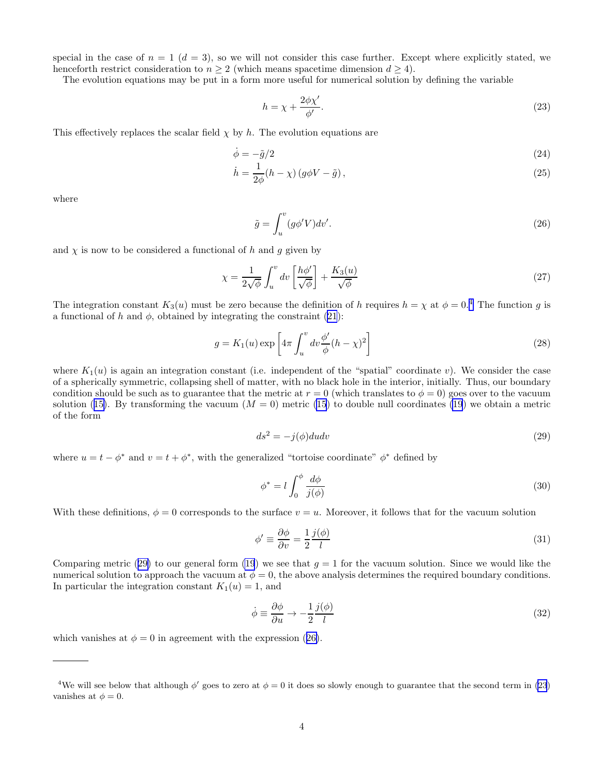<span id="page-3-0"></span>special in the case of  $n = 1$  ( $d = 3$ ), so we will not consider this case further. Except where explicitly stated, we henceforth restrict consideration to  $n \geq 2$  (which means spacetime dimension  $d \geq 4$ ).

The evolution equations may be put in a form more useful for numerical solution by defining the variable

$$
h = \chi + \frac{2\phi\chi'}{\phi'}.\tag{23}
$$

This effectively replaces the scalar field  $\chi$  by h. The evolution equations are

$$
\dot{\phi} = -\tilde{g}/2\tag{24}
$$

$$
\dot{h} = \frac{1}{2\phi}(h - \chi)\left(g\phi V - \tilde{g}\right),\tag{25}
$$

where

$$
\tilde{g} = \int_{u}^{v} (g\phi'V)dv'.
$$
\n(26)

and  $\chi$  is now to be considered a functional of h and g given by

$$
\chi = \frac{1}{2\sqrt{\phi}} \int_u^v dv \left[ \frac{h\phi'}{\sqrt{\phi}} \right] + \frac{K_3(u)}{\sqrt{\phi}} \tag{27}
$$

The integration constant  $K_3(u)$  must be zero because the definition of h requires  $h = \chi$  at  $\phi = 0.4$  The function g is a functional of h and  $\phi$ , obtained by integrating the constraint [\(21](#page-2-0)):

$$
g = K_1(u) \exp\left[4\pi \int_u^v dv \frac{\phi'}{\phi} (h - \chi)^2\right]
$$
\n(28)

where  $K_1(u)$  is again an integration constant (i.e. independent of the "spatial" coordinate v). We consider the case of a spherically symmetric, collapsing shell of matter, with no black hole in the interior, initially. Thus, our boundary condition should be such as to guarantee that the metric at  $r = 0$  (which translates to  $\phi = 0$ ) goes over to the vacuum solution([15\)](#page-2-0). By transforming the vacuum  $(M = 0)$  metric [\(15](#page-2-0)) to double null coordinates [\(19](#page-2-0)) we obtain a metric of the form

$$
ds^2 = -j(\phi)dudv\tag{29}
$$

where  $u = t - \phi^*$  and  $v = t + \phi^*$ , with the generalized "tortoise coordinate"  $\phi^*$  defined by

$$
\phi^* = l \int_0^{\phi} \frac{d\phi}{j(\phi)}\tag{30}
$$

With these definitions,  $\phi = 0$  corresponds to the surface  $v = u$ . Moreover, it follows that for the vacuum solution

$$
\phi' \equiv \frac{\partial \phi}{\partial v} = \frac{1}{2} \frac{j(\phi)}{l} \tag{31}
$$

Comparing metric (29) to our general form [\(19](#page-2-0)) we see that  $g = 1$  for the vacuum solution. Since we would like the numerical solution to approach the vacuum at  $\phi = 0$ , the above analysis determines the required boundary conditions. In particular the integration constant  $K_1(u) = 1$ , and

$$
\dot{\phi} \equiv \frac{\partial \phi}{\partial u} \to -\frac{1}{2} \frac{j(\phi)}{l} \tag{32}
$$

which vanishes at  $\phi = 0$  in agreement with the expression (26).

<sup>&</sup>lt;sup>4</sup>We will see below that although  $\phi'$  goes to zero at  $\phi = 0$  it does so slowly enough to guarantee that the second term in (23) vanishes at  $\phi = 0$ .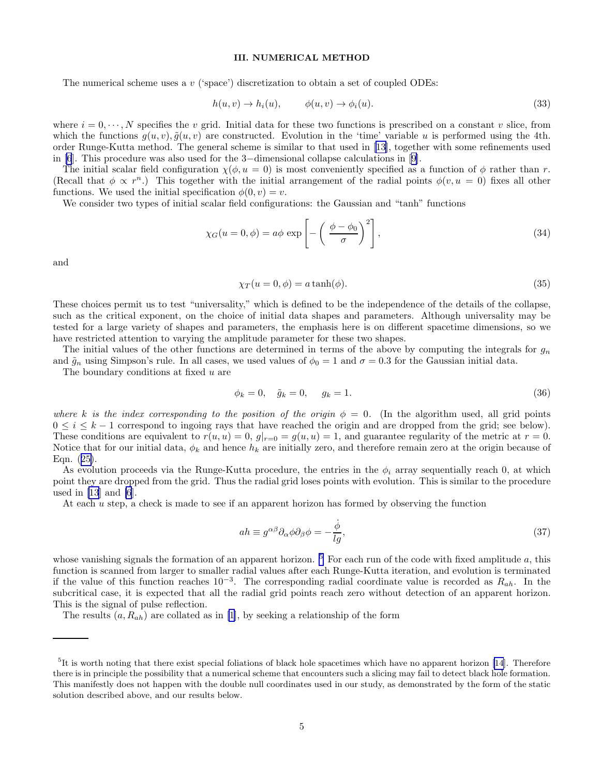## III. NUMERICAL METHOD

<span id="page-4-0"></span>The numerical scheme uses a  $v$  ('space') discretization to obtain a set of coupled ODEs:

$$
h(u, v) \to h_i(u), \qquad \phi(u, v) \to \phi_i(u). \tag{33}
$$

where  $i = 0, \dots, N$  specifies the v grid. Initial data for these two functions is prescribed on a constant v slice, from which the functions  $q(u, v)$ ,  $\tilde{q}(u, v)$  are constructed. Evolution in the 'time' variable u is performed using the 4th. order Runge-Kutta method. The general scheme is similar to that used in[[13\]](#page-10-0), together with some refinements used in [\[6](#page-10-0)]. This procedure was also used for the 3−dimensional collapse calculations in[[9](#page-10-0)].

The initial scalar field configuration  $\chi(\phi, u = 0)$  is most conveniently specified as a function of  $\phi$  rather than r. (Recall that  $\phi \propto r^n$ .) This together with the initial arrangement of the radial points  $\phi(v, u = 0)$  fixes all other functions. We used the initial specification  $\phi(0, v) = v$ .

We consider two types of initial scalar field configurations: the Gaussian and "tanh" functions

$$
\chi_G(u=0,\phi) = a\phi \exp\left[-\left(\frac{\phi-\phi_0}{\sigma}\right)^2\right],\tag{34}
$$

and

$$
\chi_T(u=0,\phi) = a \tanh(\phi). \tag{35}
$$

These choices permit us to test "universality," which is defined to be the independence of the details of the collapse, such as the critical exponent, on the choice of initial data shapes and parameters. Although universality may be tested for a large variety of shapes and parameters, the emphasis here is on different spacetime dimensions, so we have restricted attention to varying the amplitude parameter for these two shapes.

The initial values of the other functions are determined in terms of the above by computing the integrals for  $g_n$ and  $\tilde{g}_n$  using Simpson's rule. In all cases, we used values of  $\phi_0 = 1$  and  $\sigma = 0.3$  for the Gaussian initial data.

The boundary conditions at fixed u are

$$
\phi_k = 0, \quad \tilde{g}_k = 0, \quad g_k = 1. \tag{36}
$$

where k is the index corresponding to the position of the origin  $\phi = 0$ . (In the algorithm used, all grid points  $0 \leq i \leq k-1$  correspond to ingoing rays that have reached the origin and are dropped from the grid; see below). These conditions are equivalent to  $r(u, u) = 0$ ,  $g|_{r=0} = g(u, u) = 1$ , and guarantee regularity of the metric at  $r = 0$ . Notice that for our initial data,  $\phi_k$  and hence  $h_k$  are initially zero, and therefore remain zero at the origin because of Eqn.([25\)](#page-3-0).

As evolution proceeds via the Runge-Kutta procedure, the entries in the  $\phi_i$  array sequentially reach 0, at which point they are dropped from the grid. Thus the radial grid loses points with evolution. This is similar to the procedure used in  $[13]$  and  $[6]$ .

At each u step, a check is made to see if an apparent horizon has formed by observing the function

$$
ah \equiv g^{\alpha\beta}\partial_{\alpha}\phi\partial_{\beta}\phi = -\frac{\dot{\phi}}{lg},\tag{37}
$$

whose vanishing signals the formation of an apparent horizon.  $5$  For each run of the code with fixed amplitude a, this function is scanned from larger to smaller radial values after each Runge-Kutta iteration, and evolution is terminated if the value of this function reaches  $10^{-3}$ . The corresponding radial coordinate value is recorded as  $R_{ah}$ . In the subcritical case, it is expected that all the radial grid points reach zero without detection of an apparent horizon. This is the signal of pulse reflection.

The results  $(a, R_{ah})$  are collated as in [\[1](#page-10-0)], by seeking a relationship of the form

<sup>&</sup>lt;sup>5</sup>Itis worth noting that there exist special foliations of black hole spacetimes which have no apparent horizon [[14](#page-10-0)]. Therefore there is in principle the possibility that a numerical scheme that encounters such a slicing may fail to detect black hole formation. This manifestly does not happen with the double null coordinates used in our study, as demonstrated by the form of the static solution described above, and our results below.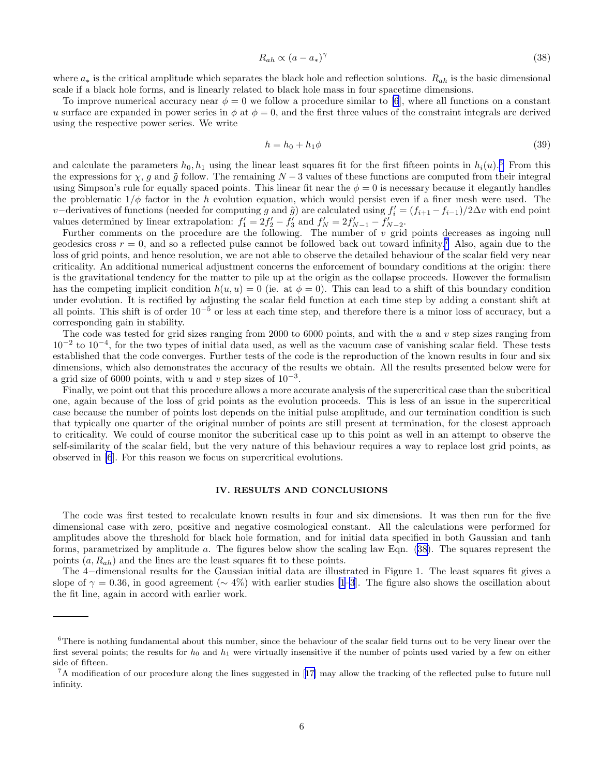$$
R_{ah} \propto (a - a_*)^{\gamma} \tag{38}
$$

where  $a_*$  is the critical amplitude which separates the black hole and reflection solutions.  $R_{ah}$  is the basic dimensional scale if a black hole forms, and is linearly related to black hole mass in four spacetime dimensions.

To improve numerical accuracy near  $\phi = 0$  we follow a procedure similar to [\[6](#page-10-0)], where all functions on a constant u surface are expanded in power series in  $\phi$  at  $\phi = 0$ , and the first three values of the constraint integrals are derived using the respective power series. We write

$$
h = h_0 + h_1 \phi \tag{39}
$$

and calculate the parameters  $h_0, h_1$  using the linear least squares fit for the first fifteen points in  $h_i(u)$ .<sup>6</sup> From this the expressions for  $\chi$ , g and  $\tilde{g}$  follow. The remaining  $N-3$  values of these functions are computed from their integral using Simpson's rule for equally spaced points. This linear fit near the  $\phi = 0$  is necessary because it elegantly handles the problematic  $1/\phi$  factor in the h evolution equation, which would persist even if a finer mesh were used. The v–derivatives of functions (needed for computing g and  $\tilde{g}$ ) are calculated using  $f'_{i} = (f_{i+1} - f_{i-1})/2\Delta v$  with end point values determined by linear extrapolation:  $f_1' = 2f_2' - f_3'$  and  $f_N' = 2f_{N-1}' - f_{N-2}'$ .

Further comments on the procedure are the following. The number of v grid points decreases as ingoing null geodesics cross  $r = 0$ , and so a reflected pulse cannot be followed back out toward infinity.<sup>7</sup> Also, again due to the loss of grid points, and hence resolution, we are not able to observe the detailed behaviour of the scalar field very near criticality. An additional numerical adjustment concerns the enforcement of boundary conditions at the origin: there is the gravitational tendency for the matter to pile up at the origin as the collapse proceeds. However the formalism has the competing implicit condition  $h(u, u) = 0$  (ie. at  $\phi = 0$ ). This can lead to a shift of this boundary condition under evolution. It is rectified by adjusting the scalar field function at each time step by adding a constant shift at all points. This shift is of order  $10^{-5}$  or less at each time step, and therefore there is a minor loss of accuracy, but a corresponding gain in stability.

The code was tested for grid sizes ranging from 2000 to 6000 points, and with the  $u$  and  $v$  step sizes ranging from  $10^{-2}$  to  $10^{-4}$ , for the two types of initial data used, as well as the vacuum case of vanishing scalar field. These tests established that the code converges. Further tests of the code is the reproduction of the known results in four and six dimensions, which also demonstrates the accuracy of the results we obtain. All the results presented below were for a grid size of 6000 points, with u and v step sizes of  $10^{-3}$ .

Finally, we point out that this procedure allows a more accurate analysis of the supercritical case than the subcritical one, again because of the loss of grid points as the evolution proceeds. This is less of an issue in the supercritical case because the number of points lost depends on the initial pulse amplitude, and our termination condition is such that typically one quarter of the original number of points are still present at termination, for the closest approach to criticality. We could of course monitor the subcritical case up to this point as well in an attempt to observe the self-similarity of the scalar field, but the very nature of this behaviour requires a way to replace lost grid points, as observed in [\[6](#page-10-0)]. For this reason we focus on supercritical evolutions.

## IV. RESULTS AND CONCLUSIONS

The code was first tested to recalculate known results in four and six dimensions. It was then run for the five dimensional case with zero, positive and negative cosmological constant. All the calculations were performed for amplitudes above the threshold for black hole formation, and for initial data specified in both Gaussian and tanh forms, parametrized by amplitude a. The figures below show the scaling law Eqn. (38). The squares represent the points  $(a, R_{ah})$  and the lines are the least squares fit to these points.

The 4−dimensional results for the Gaussian initial data are illustrated in Figure 1. The least squares fit gives a slope of  $\gamma = 0.36$ , in good agreement ( $\sim 4\%$ ) with earlier studies [\[1–3](#page-10-0)]. The figure also shows the oscillation about the fit line, again in accord with earlier work.

 $6$ There is nothing fundamental about this number, since the behaviour of the scalar field turns out to be very linear over the first several points; the results for  $h_0$  and  $h_1$  were virtually insensitive if the number of points used varied by a few on either side of fifteen.

<sup>7</sup>A modification of our procedure along the lines suggested in[[17\]](#page-10-0) may allow the tracking of the reflected pulse to future null infinity.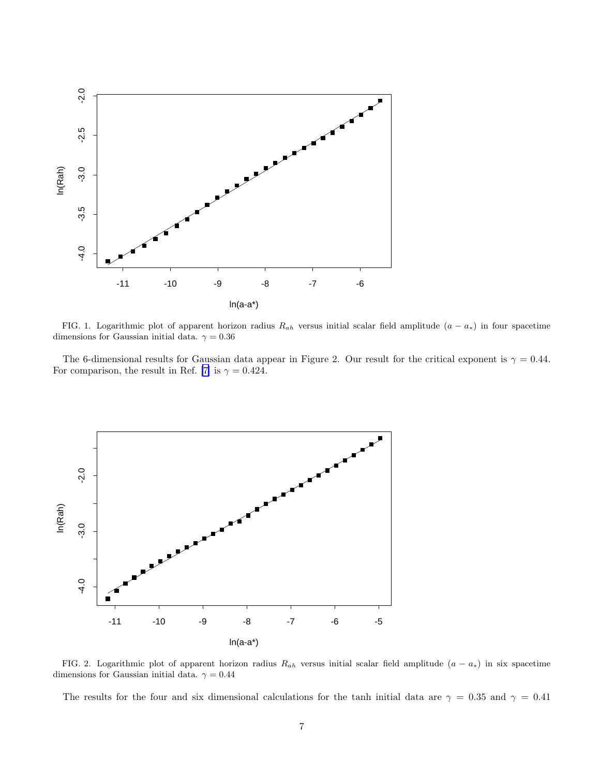

FIG. 1. Logarithmic plot of apparent horizon radius  $R_{ah}$  versus initial scalar field amplitude  $(a - a_*)$  in four spacetime dimensions for Gaussian initial data.  $\gamma=0.36$ 

The 6-dimensional results for Gaussian data appear in Figure 2. Our result for the critical exponent is  $\gamma = 0.44$ . For comparison, the result in Ref. [\[7\]](#page-10-0) is  $\gamma = 0.424$ .



FIG. 2. Logarithmic plot of apparent horizon radius  $R_{ah}$  versus initial scalar field amplitude  $(a - a_*)$  in six spacetime dimensions for Gaussian initial data.  $\gamma = 0.44$ 

The results for the four and six dimensional calculations for the tanh initial data are  $\gamma = 0.35$  and  $\gamma = 0.41$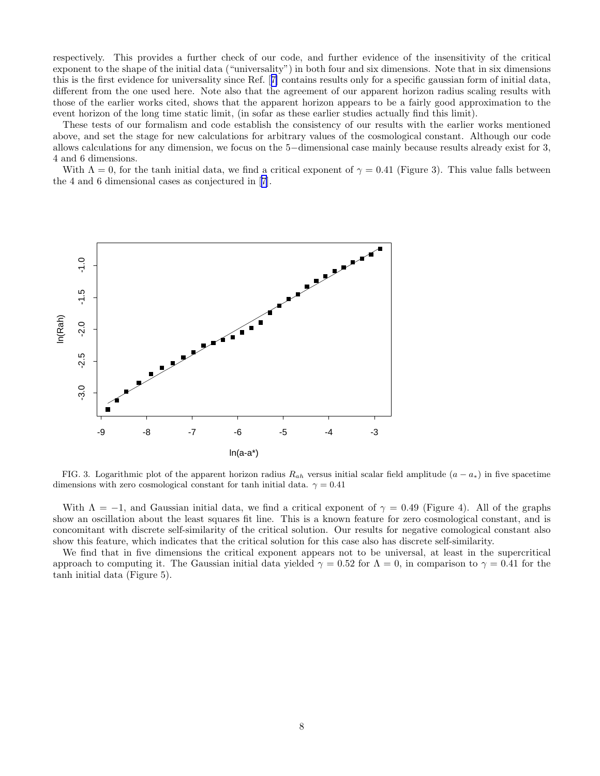respectively. This provides a further check of our code, and further evidence of the insensitivity of the critical exponent to the shape of the initial data ("universality") in both four and six dimensions. Note that in six dimensions this is the first evidence for universality since Ref.[[7\]](#page-10-0) contains results only for a specific gaussian form of initial data, different from the one used here. Note also that the agreement of our apparent horizon radius scaling results with those of the earlier works cited, shows that the apparent horizon appears to be a fairly good approximation to the event horizon of the long time static limit, (in sofar as these earlier studies actually find this limit).

These tests of our formalism and code establish the consistency of our results with the earlier works mentioned above, and set the stage for new calculations for arbitrary values of the cosmological constant. Although our code allows calculations for any dimension, we focus on the 5−dimensional case mainly because results already exist for 3, 4 and 6 dimensions.

With  $\Lambda = 0$ , for the tanh initial data, we find a critical exponent of  $\gamma = 0.41$  (Figure 3). This value falls between the 4 and 6 dimensional cases as conjectured in[[7](#page-10-0)].



FIG. 3. Logarithmic plot of the apparent horizon radius  $R_{ah}$  versus initial scalar field amplitude  $(a - a_*)$  in five spacetime dimensions with zero cosmological constant for tanh initial data.  $\gamma = 0.41$ 

With  $\Lambda = -1$ , and Gaussian initial data, we find a critical exponent of  $\gamma = 0.49$  (Figure 4). All of the graphs show an oscillation about the least squares fit line. This is a known feature for zero cosmological constant, and is concomitant with discrete self-similarity of the critical solution. Our results for negative comological constant also show this feature, which indicates that the critical solution for this case also has discrete self-similarity.

We find that in five dimensions the critical exponent appears not to be universal, at least in the supercritical approach to computing it. The Gaussian initial data yielded  $\gamma = 0.52$  for  $\Lambda = 0$ , in comparison to  $\gamma = 0.41$  for the tanh initial data (Figure 5).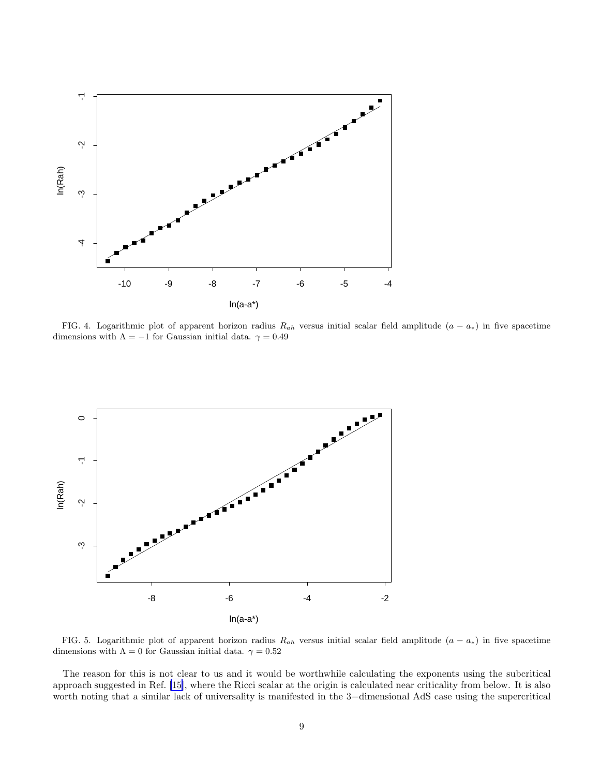

FIG. 4. Logarithmic plot of apparent horizon radius  $R_{ah}$  versus initial scalar field amplitude  $(a - a_*)$  in five spacetime dimensions with  $\Lambda=-1$  for Gaussian initial data.  $\gamma=0.49$ 



FIG. 5. Logarithmic plot of apparent horizon radius  $R_{ah}$  versus initial scalar field amplitude  $(a - a_*)$  in five spacetime dimensions with  $\Lambda = 0$  for Gaussian initial data.  $\gamma = 0.52$ 

The reason for this is not clear to us and it would be worthwhile calculating the exponents using the subcritical approach suggested in Ref. [\[15\]](#page-10-0), where the Ricci scalar at the origin is calculated near criticality from below. It is also worth noting that a similar lack of universality is manifested in the 3−dimensional AdS case using the supercritical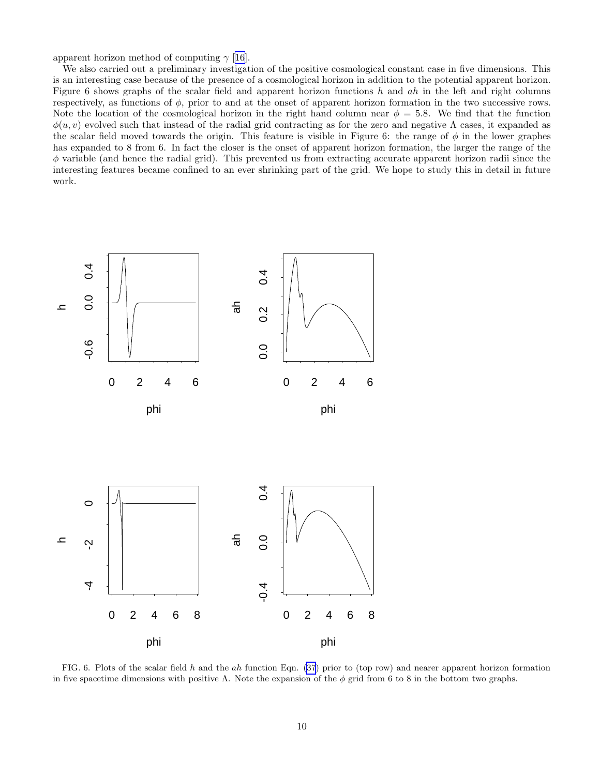apparent horizon method of computing  $\gamma$  [[16\]](#page-10-0).

We also carried out a preliminary investigation of the positive cosmological constant case in five dimensions. This is an interesting case because of the presence of a cosmological horizon in addition to the potential apparent horizon. Figure 6 shows graphs of the scalar field and apparent horizon functions  $h$  and  $ah$  in the left and right columns respectively, as functions of  $\phi$ , prior to and at the onset of apparent horizon formation in the two successive rows. Note the location of the cosmological horizon in the right hand column near  $\phi = 5.8$ . We find that the function  $\phi(u, v)$  evolved such that instead of the radial grid contracting as for the zero and negative  $\Lambda$  cases, it expanded as the scalar field moved towards the origin. This feature is visible in Figure 6: the range of  $\phi$  in the lower graphes has expanded to 8 from 6. In fact the closer is the onset of apparent horizon formation, the larger the range of the  $\phi$  variable (and hence the radial grid). This prevented us from extracting accurate apparent horizon radii since the interesting features became confined to an ever shrinking part of the grid. We hope to study this in detail in future work.



FIG. 6. Plots of the scalar field h and the ah function Eqn. [\(37](#page-4-0)) prior to (top row) and nearer apparent horizon formation in five spacetime dimensions with positive Λ. Note the expansion of the  $\phi$  grid from 6 to 8 in the bottom two graphs.